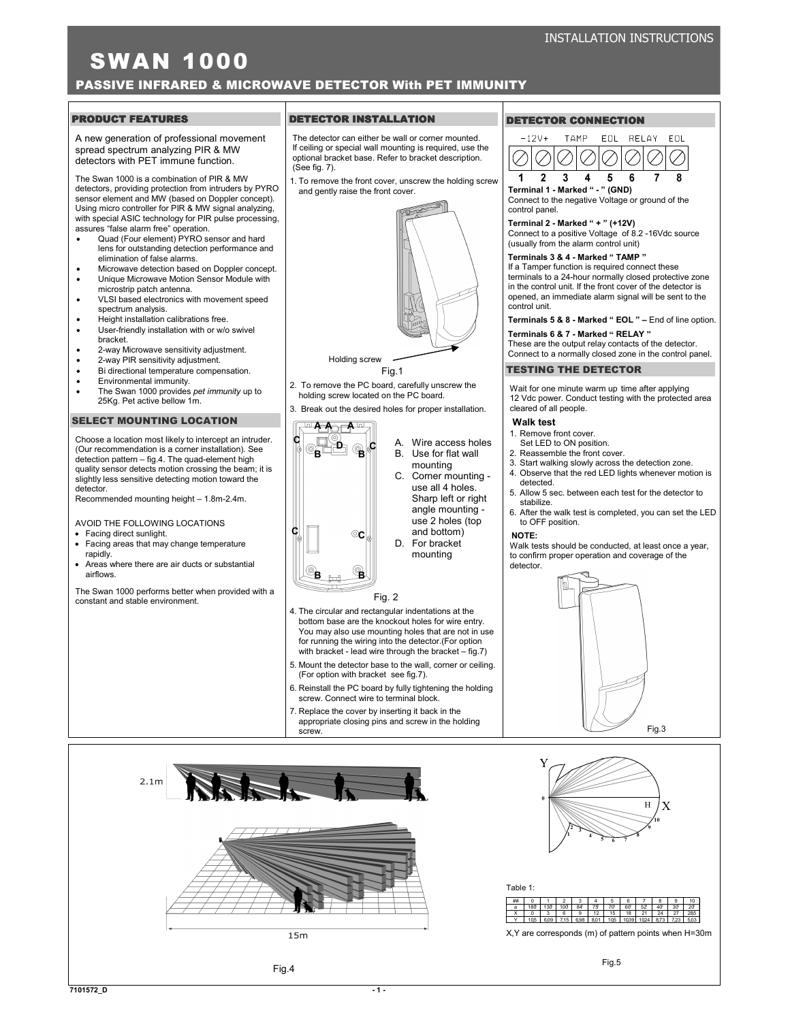# SWAN 1000

PASSIVE INFRARED & MICROWAVE DETECTOR With PET IMMUNITY

## **PRODUCT FEATURES**

A new generation of professional movement spread spectrum analyzing PIR & MW detectors with PET immune function.

The Swan 1000 is a combination of PIR & MW detectors, providing protection from intruders by PYRO sensor element and MW (based on Doppler concept). Using micro controller for PIR & MW signal analyzing, with special ASIC technology for PIR pulse processing, assures "false alarm free" operation.

- Quad (Four element) PYRO sensor and hard lens for outstanding detection performance and elimination of false alarms.
- Microwave detection based on Doppler concept.
- Unique Microwave Motion Sensor Module with microstrip patch antenna.
- VLSI based electronics with movement speed spectrum analysis.
- Height installation calibrations free. User-friendly installation with or w/o swivel
- 
- bracket. • 2-way Microwave sensitivity adjustment.
- 2-way PIR sensitivity adjustment.
- Bi directional temperature compensation.
- Environmental immunity.
- The Swan 1000 provides pet immunity up to 25Kg. Pet active bellow 1m.

### SELECT MOUNTING LOCATION

Choose a location most likely to intercept an intruder. (Our recommendation is a corner installation). See detection pattern – fig.4. The quad-element high quality sensor detects motion crossing the beam; it is slightly less sensitive detecting motion toward the detector.

Recommended mounting height – 1.8m-2.4m.

AVOID THE FOLLOWING LOCATIONS

- Facing direct sunlight.
- Facing areas that may change temperature rapidly.
- Areas where there are air ducts or substantial airflows.

The Swan 1000 performs better when provided with a constant and stable environment.



The detector can either be wall or corner mounted. If ceiling or special wall mounting is required, use the optional bracket base. Refer to bracket description.  $(See$  fig.  $7)$ .

1. To remove the front cover, unscrew the holding screw and gently raise the front cover.



Fig.1

2. To remove the PC board, carefully unscrew the holding screw located on the PC board.

3. Break out the desired holes for proper installation.



## DETECTOR CONNECTION



Terminal 1 - Marked " - " (GND) Connect to the negative Voltage or ground of the control panel.

## Terminal 2 - Marked " + " (+12V)

Connect to a positive Voltage of 8.2 -16Vdc source (usually from the alarm control unit)

### Terminals 3 & 4 - Marked " TAMP "

If a Tamper function is required connect these terminals to a 24-hour normally closed protective zone in the control unit. If the front cover of the detector is opened, an immediate alarm signal will be sent to the control unit.

Terminals 5 & 8 - Marked " EOL " - End of line option.

Terminals 6 & 7 - Marked " RELAY "

These are the output relay contacts of the detector. Connect to a normally closed zone in the control panel.

### TESTING THE DETECTOR

Wait for one minute warm up time after applying 12 Vdc power. Conduct testing with the protected area cleared of all people.

### Walk test

Y

- 1. Remove front cover.
- Set LED to ON position.
- 2. Reassemble the front cover.
- 3. Start walking slowly across the detection zone.
- 4. Observe that the red LED lights whenever motion is detected.
- 5. Allow 5 sec. between each test for the detector to stabilize.
- 6. After the walk test is completed, you can set the LED to OFF position.

Walk tests should be conducted, at least once a year to confirm proper operation and coverage of the detector.





O

C



X,Y are corresponds (m) of pattern points when H=30m